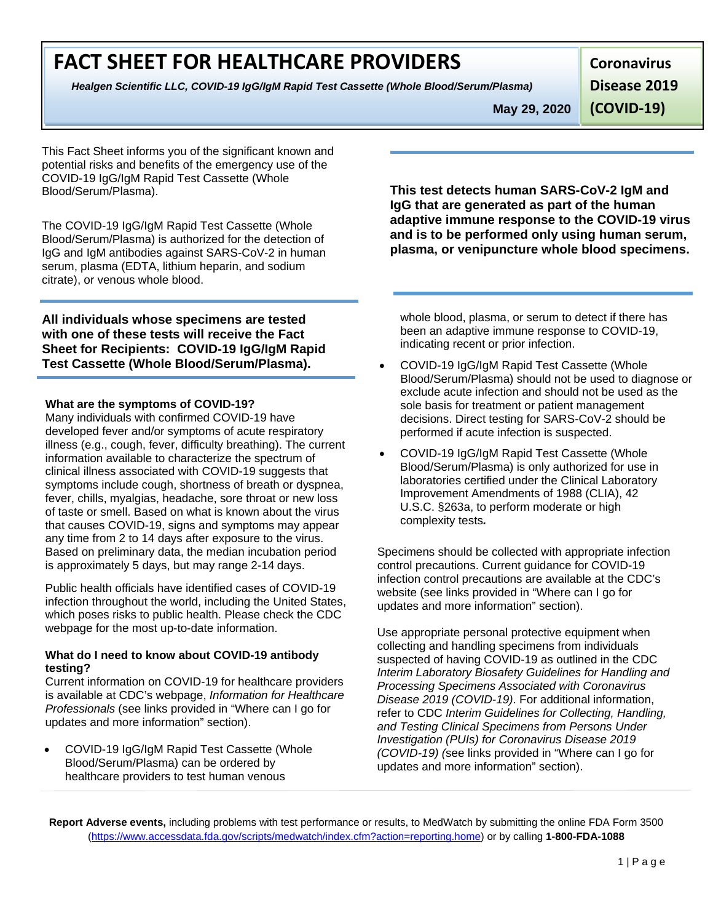### **FACT SHEET FOR HEALTHCARE PROVIDERS**

*Healgen Scientific LLC, COVID-19 IgG/IgM Rapid Test Cassette (Whole Blood/Serum/Plasma)* 

**Coronavirus**

**Disease 2019** 

**May 29, 2020**

**(COVID-19)**

This Fact Sheet informs you of the significant known and potential risks and benefits of the emergency use of the COVID-19 IgG/IgM Rapid Test Cassette (Whole Blood/Serum/Plasma).

The COVID-19 IgG/IgM Rapid Test Cassette (Whole Blood/Serum/Plasma) is authorized for the detection of IgG and IgM antibodies against SARS-CoV-2 in human serum, plasma (EDTA, lithium heparin, and sodium citrate), or venous whole blood.

**All individuals whose specimens are tested with one of these tests will receive the Fact Sheet for Recipients: COVID-19 IgG/IgM Rapid Test Cassette (Whole Blood/Serum/Plasma).**

#### **What are the symptoms of COVID-19?**

Many individuals with confirmed COVID-19 have developed fever and/or symptoms of acute respiratory illness (e.g., cough, fever, difficulty breathing). The current information available to characterize the spectrum of clinical illness associated with COVID-19 suggests that symptoms include cough, shortness of breath or dyspnea, fever, chills, myalgias, headache, sore throat or new loss of taste or smell. Based on what is known about the virus that causes COVID-19, signs and symptoms may appear any time from 2 to 14 days after exposure to the virus. Based on preliminary data, the median incubation period is approximately 5 days, but may range 2-14 days.

Public health officials have identified cases of COVID-19 infection throughout the world, including the United States, which poses risks to public health. Please check the CDC webpage for the most up-to-date information.

#### **What do I need to know about COVID-19 antibody testing?**

Current information on COVID-19 for healthcare providers is available at CDC's webpage, *Information for Healthcare Professionals* (see links provided in "Where can I go for updates and more information" section).

• COVID-19 IgG/IgM Rapid Test Cassette (Whole Blood/Serum/Plasma) can be ordered by healthcare providers to test human venous

**This test detects human SARS-CoV-2 IgM and IgG that are generated as part of the human adaptive immune response to the COVID-19 virus and is to be performed only using human serum, plasma, or venipuncture whole blood specimens.**

whole blood, plasma, or serum to detect if there has been an adaptive immune response to COVID-19, indicating recent or prior infection.

- COVID-19 IgG/IgM Rapid Test Cassette (Whole Blood/Serum/Plasma) should not be used to diagnose or exclude acute infection and should not be used as the sole basis for treatment or patient management decisions. Direct testing for SARS-CoV-2 should be performed if acute infection is suspected.
- COVID-19 IgG/IgM Rapid Test Cassette (Whole Blood/Serum/Plasma) is only authorized for use in laboratories certified under the Clinical Laboratory Improvement Amendments of 1988 (CLIA), 42 U.S.C. §263a, to perform moderate or high complexity tests*.*

Specimens should be collected with appropriate infection control precautions. Current guidance for COVID-19 infection control precautions are available at the CDC's website (see links provided in "Where can I go for updates and more information" section).

Use appropriate personal protective equipment when collecting and handling specimens from individuals suspected of having COVID-19 as outlined in the CDC *Interim Laboratory Biosafety Guidelines for Handling and Processing Specimens Associated with Coronavirus Disease 2019 (COVID-19)*. For additional information, refer to CDC *Interim Guidelines for Collecting, Handling, and Testing Clinical Specimens from Persons Under Investigation (PUIs) for Coronavirus Disease 2019 (COVID-19) (*see links provided in "Where can I go for updates and more information" section).

**Report Adverse events,** including problems with test performance or results, to MedWatch by submitting the online FDA Form 3500 [\(https://www.accessdata.fda.gov/scripts/medwatch/index.cfm?action=reporting.home\) o](https://www.accessdata.fda.gov/scripts/medwatch/index.cfm?action=reporting.home)r by calling **1-800-FDA-1088**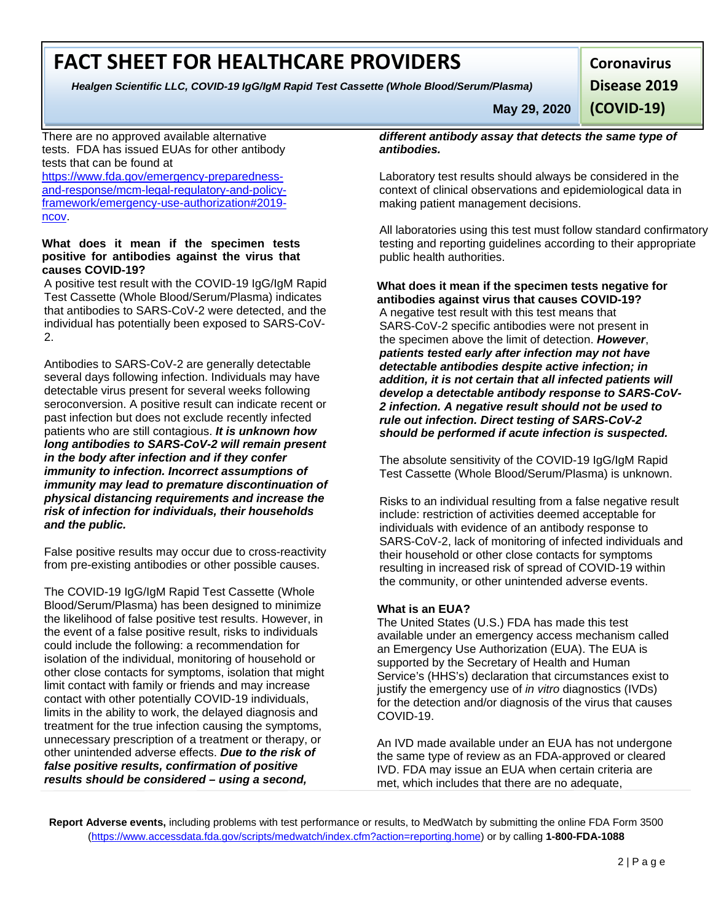# **FACT SHEET FOR HEALTHCARE PROVIDERS**

*Healgen Scientific LLC, COVID-19 IgG/IgM Rapid Test Cassette (Whole Blood/Serum/Plasma)* 

**Coronavirus**

**Disease 2019** 

**(COVID-19)**

There are no approved available alternative tests. FDA has issued EUAs for other antibody tests that can be found at

[https://www.fda.gov/emergency-preparedness](https://www.fda.gov/emergency-preparedness-and-response/mcm-legal-regulatory-and-policy-framework/emergency-use-authorization#2019-ncov)[and-response/mcm-legal-regulatory-and-policy](https://www.fda.gov/emergency-preparedness-and-response/mcm-legal-regulatory-and-policy-framework/emergency-use-authorization#2019-ncov)[framework/emergency-use-authorization#2019](https://www.fda.gov/emergency-preparedness-and-response/mcm-legal-regulatory-and-policy-framework/emergency-use-authorization#2019-ncov) [ncov.](https://www.fda.gov/emergency-preparedness-and-response/mcm-legal-regulatory-and-policy-framework/emergency-use-authorization#2019-ncov)

#### **What does it mean if the specimen tests positive for antibodies against the virus that causes COVID-19?**

A positive test result with the COVID-19 IgG/IgM Rapid Test Cassette (Whole Blood/Serum/Plasma) indicates that antibodies to SARS-CoV-2 were detected, and the individual has potentially been exposed to SARS-CoV-2.

Antibodies to SARS-CoV-2 are generally detectable several days following infection. Individuals may have detectable virus present for several weeks following seroconversion. A positive result can indicate recent or past infection but does not exclude recently infected patients who are still contagious. *It is unknown how long antibodies to SARS-CoV-2 will remain present in the body after infection and if they confer immunity to infection. Incorrect assumptions of immunity may lead to premature discontinuation of physical distancing requirements and increase the risk of infection for individuals, their households and the public.*

False positive results may occur due to cross-reactivity from pre-existing antibodies or other possible causes.

The COVID-19 IgG/IgM Rapid Test Cassette (Whole Blood/Serum/Plasma) has been designed to minimize the likelihood of false positive test results. However, in the event of a false positive result, risks to individuals could include the following: a recommendation for isolation of the individual, monitoring of household or other close contacts for symptoms, isolation that might limit contact with family or friends and may increase contact with other potentially COVID-19 individuals, limits in the ability to work, the delayed diagnosis and treatment for the true infection causing the symptoms, unnecessary prescription of a treatment or therapy, or other unintended adverse effects. *Due to the risk of false positive results, confirmation of positive results should be considered – using a second,* 

*different antibody assay that detects the same type of antibodies.*

**May 29, 2020**

Laboratory test results should always be considered in the context of clinical observations and epidemiological data in making patient management decisions.

All laboratories using this test must follow standard confirmatory testing and reporting guidelines according to their appropriate public health authorities.

**What does it mean if the specimen tests negative for antibodies against virus that causes COVID-19?** A negative test result with this test means that SARS-CoV-2 specific antibodies were not present in the specimen above the limit of detection. *However*, *patients tested early after infection may not have detectable antibodies despite active infection; in addition, it is not certain that all infected patients will develop a detectable antibody response to SARS-CoV-2 infection. A negative result should not be used to rule out infection. Direct testing of SARS-CoV-2 should be performed if acute infection is suspected.*

The absolute sensitivity of the COVID-19 IgG/IgM Rapid Test Cassette (Whole Blood/Serum/Plasma) is unknown.

Risks to an individual resulting from a false negative result include: restriction of activities deemed acceptable for individuals with evidence of an antibody response to SARS-CoV-2, lack of monitoring of infected individuals and their household or other close contacts for symptoms resulting in increased risk of spread of COVID-19 within the community, or other unintended adverse events.

#### **What is an EUA?**

The United States (U.S.) FDA has made this test available under an emergency access mechanism called an Emergency Use Authorization (EUA). The EUA is supported by the Secretary of Health and Human Service's (HHS's) declaration that circumstances exist to justify the emergency use of *in vitro* diagnostics (IVDs) for the detection and/or diagnosis of the virus that causes COVID-19.

An IVD made available under an EUA has not undergone the same type of review as an FDA-approved or cleared IVD. FDA may issue an EUA when certain criteria are met, which includes that there are no adequate,

**Report Adverse events,** including problems with test performance or results, to MedWatch by submitting the online FDA Form 3500 [\(https://www.accessdata.fda.gov/scripts/medwatch/index.cfm?action=reporting.home\) o](https://www.accessdata.fda.gov/scripts/medwatch/index.cfm?action=reporting.home)r by calling **1-800-FDA-1088**